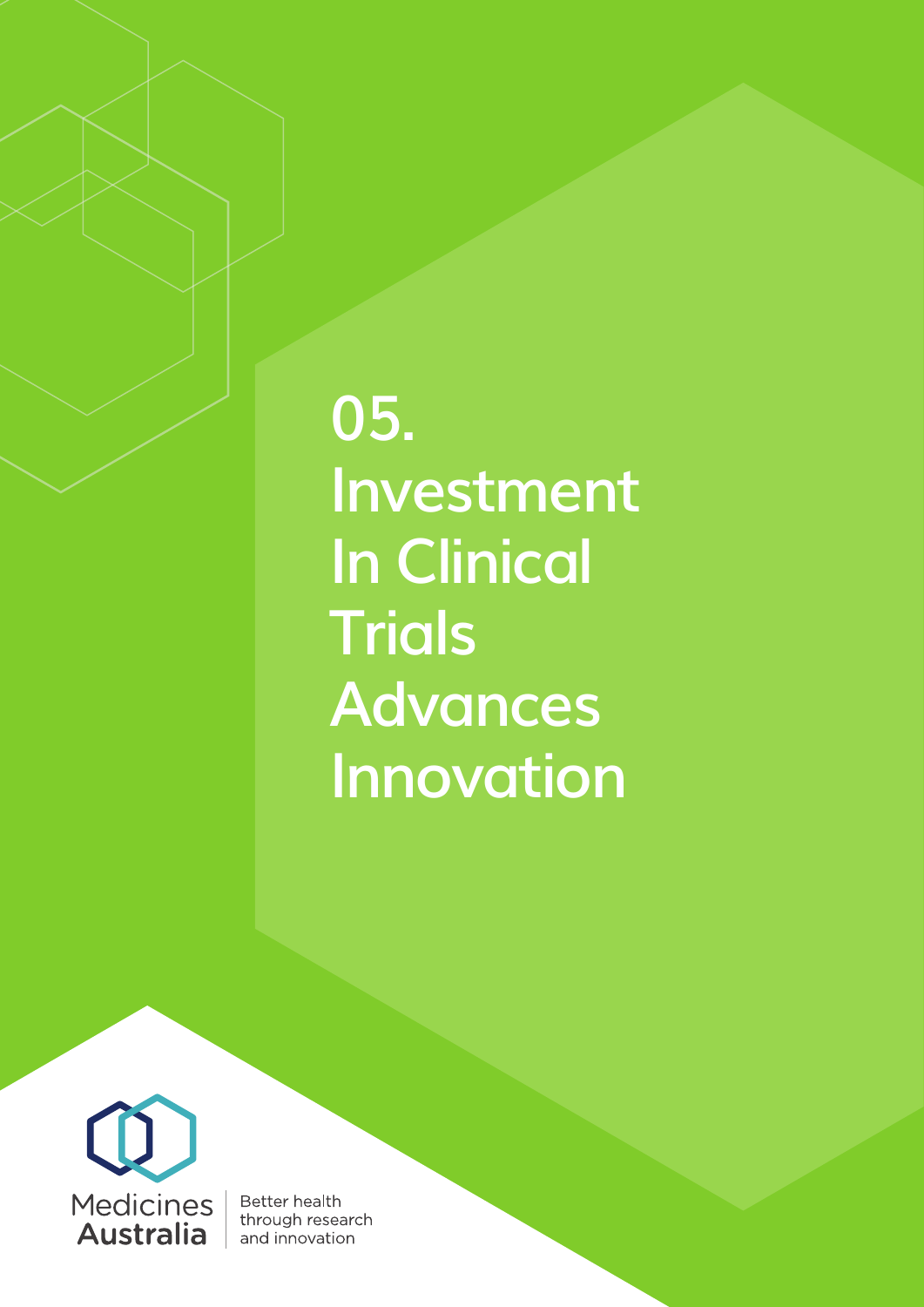**05. Investment In Clinical Trials Advances Innovation** 



**Better health** through research and innovation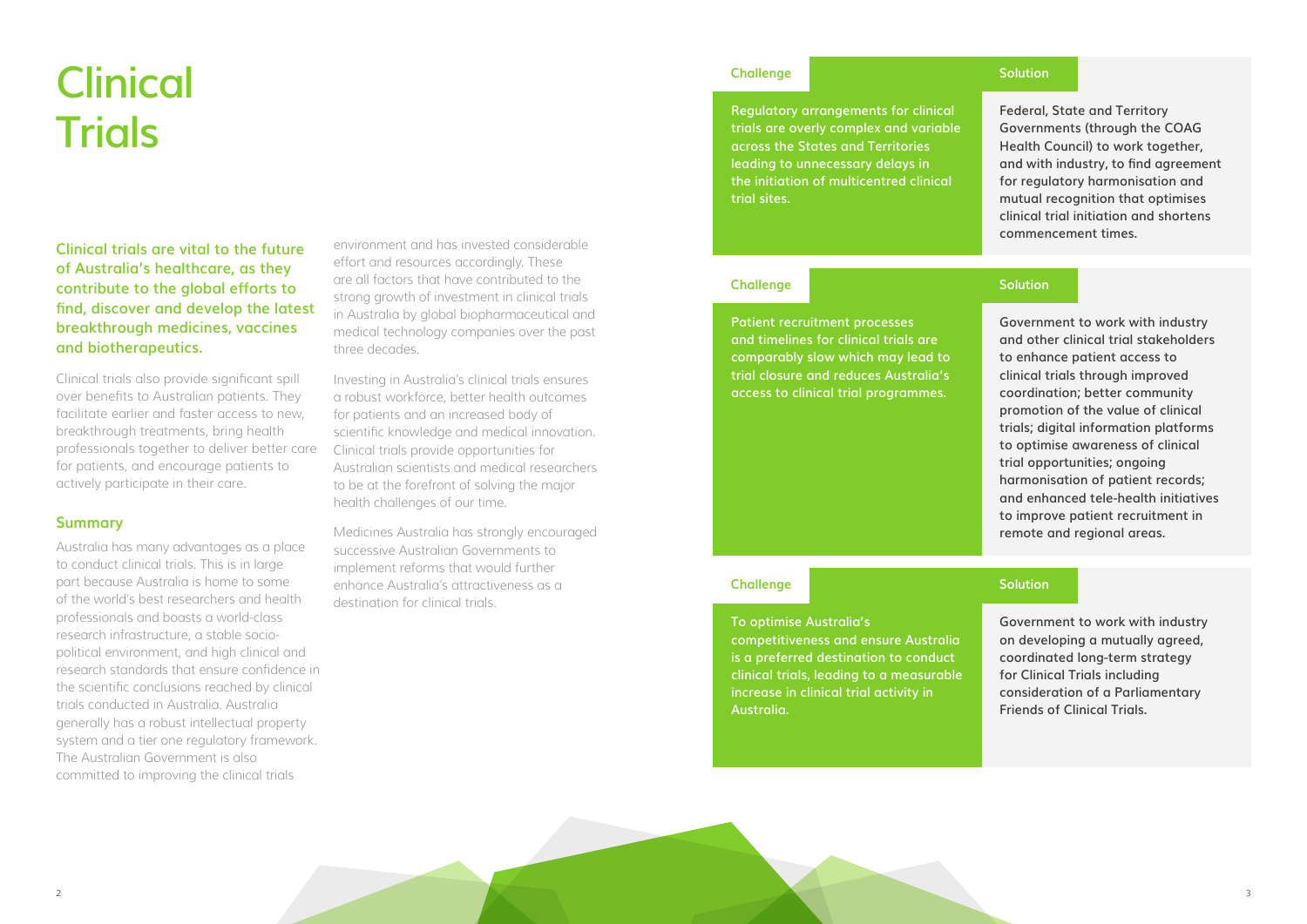# **Clinical Trials**

**Clinical trials are vital to the future of Australia's healthcare, as they contribute to the global efforts to find, discover and develop the latest breakthrough medicines, vaccines and biotherapeutics.** 

Clinical trials also provide significant spill over benefits to Australian patients. They facilitate earlier and faster access to new, breakthrough treatments, bring health professionals together to deliver better care for patients, and encourage patients to actively participate in their care.

## **Summary**

Australia has many advantages as a place to conduct clinical trials. This is in large part because Australia is home to some of the world's best researchers and health professionals and boasts a world-class research infrastructure, a stable sociopolitical environment, and high clinical and research standards that ensure confidence in the scientific conclusions reached by clinical trials conducted in Australia. Australia generally has a robust intellectual property system and a tier one regulatory framework. The Australian Government is also committed to improving the clinical trials

environment and has invested considerable effort and resources accordingly. These are all factors that have contributed to the strong growth of investment in clinical trials in Australia by global biopharmaceutical and medical technology companies over the past three decades.

Investing in Australia's clinical trials ensures a robust workforce, better health outcomes for patients and an increased body of scientific knowledge and medical innovation. Clinical trials provide opportunities for Australian scientists and medical researchers to be at the forefront of solving the major health challenges of our time.

Medicines Australia has strongly encouraged successive Australian Governments to implement reforms that would further enhance Australia's attractiveness as a destination for clinical trials.

**Regulatory arrangements for clinical trials are overly complex and variable across the States and Territories leading to unnecessary delays in the initiation of multicentred clinical trial sites.**

### **Challenge**

**Federal, State and Territory Governments (through the COAG Health Council) to work together, and with industry, to find agreement for regulatory harmonisation and mutual recognition that optimises clinical trial initiation and shortens commencement times.**

## **Solution**

**To optimise Australia's competitiveness and ensure Australia is a preferred destination to conduct clinical trials, leading to a measurable increase in clinical trial activity in Australia.** 

## **Challenge**

**Government to work with industry on developing a mutually agreed, coordinated long-term strategy for Clinical Trials including consideration of a Parliamentary Friends of Clinical Trials.**

## **Solution**

**Patient recruitment processes and timelines for clinical trials are comparably slow which may lead to trial closure and reduces Australia's access to clinical trial programmes.** 

## **Challenge**

**Government to work with industry and other clinical trial stakeholders to enhance patient access to clinical trials through improved coordination; better community promotion of the value of clinical trials; digital information platforms to optimise awareness of clinical trial opportunities; ongoing harmonisation of patient records; and enhanced tele-health initiatives to improve patient recruitment in remote and regional areas.**

## **Solution**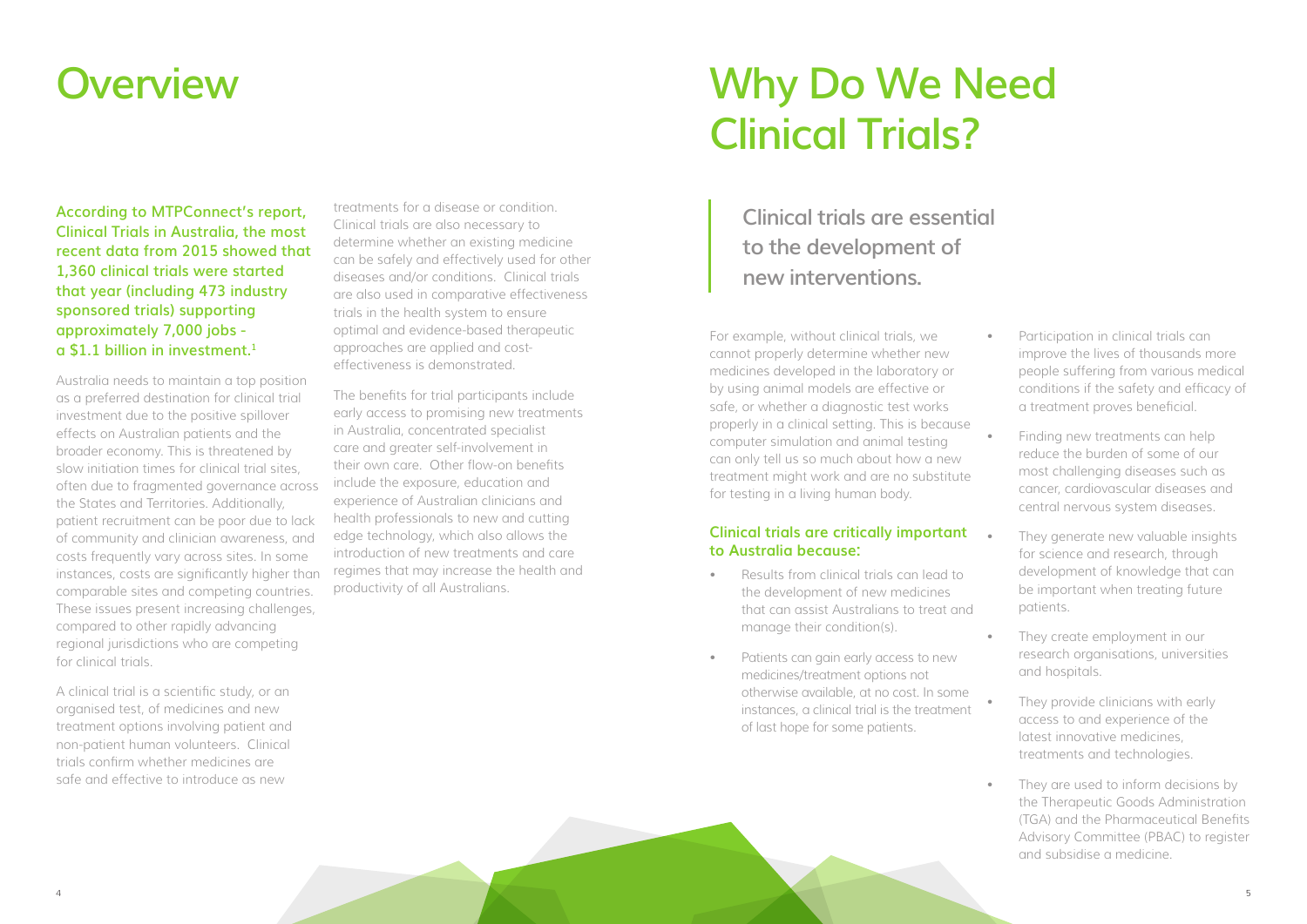## **Why Do We Need Clinical Trials?**

## **Overview**

**According to MTPConnect's report, Clinical Trials in Australia, the most recent data from 2015 showed that 1,360 clinical trials were started that year (including 473 industry sponsored trials) supporting approximately 7,000 jobs a \$1.1 billion in investment.1**

Australia needs to maintain a top position as a preferred destination for clinical trial investment due to the positive spillover effects on Australian patients and the broader economy. This is threatened by slow initiation times for clinical trial sites, often due to fragmented governance across the States and Territories. Additionally, patient recruitment can be poor due to lack of community and clinician awareness, and costs frequently vary across sites. In some instances, costs are significantly higher than comparable sites and competing countries. These issues present increasing challenges, compared to other rapidly advancing regional jurisdictions who are competing for clinical trials.

A clinical trial is a scientific study, or an organised test, of medicines and new treatment options involving patient and non-patient human volunteers. Clinical trials confirm whether medicines are safe and effective to introduce as new

treatments for a disease or condition. Clinical trials are also necessary to determine whether an existing medicine can be safely and effectively used for other diseases and/or conditions. Clinical trials are also used in comparative effectiveness trials in the health system to ensure optimal and evidence-based therapeutic approaches are applied and costeffectiveness is demonstrated.

The benefits for trial participants include early access to promising new treatments in Australia, concentrated specialist care and greater self-involvement in their own care. Other flow-on benefits include the exposure, education and experience of Australian clinicians and health professionals to new and cutting edge technology, which also allows the introduction of new treatments and care regimes that may increase the health and productivity of all Australians.

For example, without clinical trials, we cannot properly determine whether new medicines developed in the laboratory or by using animal models are effective or safe, or whether a diagnostic test works properly in a clinical setting. This is because computer simulation and animal testing can only tell us so much about how a new treatment might work and are no substitute for testing in a living human body.

## **Clinical trials are critically important to Australia because:**

- Results from clinical trials can lead to the development of new medicines that can assist Australians to treat and manage their condition(s).
- Patients can gain early access to new medicines/treatment options not otherwise available, at no cost. In some instances, a clinical trial is the treatment of last hope for some patients.
- Participation in clinical trials can improve the lives of thousands more people suffering from various medical conditions if the safety and efficacy of a treatment proves beneficial.
- Finding new treatments can help reduce the burden of some of our most challenging diseases such as cancer, cardiovascular diseases and central nervous system diseases.
- They generate new valuable insights for science and research, through development of knowledge that can be important when treating future patients.
- They create employment in our research organisations, universities and hospitals.
- They provide clinicians with early access to and experience of the latest innovative medicines, treatments and technologies.
- They are used to inform decisions by the Therapeutic Goods Administration (TGA) and the Pharmaceutical Benefits Advisory Committee (PBAC) to register and subsidise a medicine.

**Clinical trials are essential to the development of new interventions.**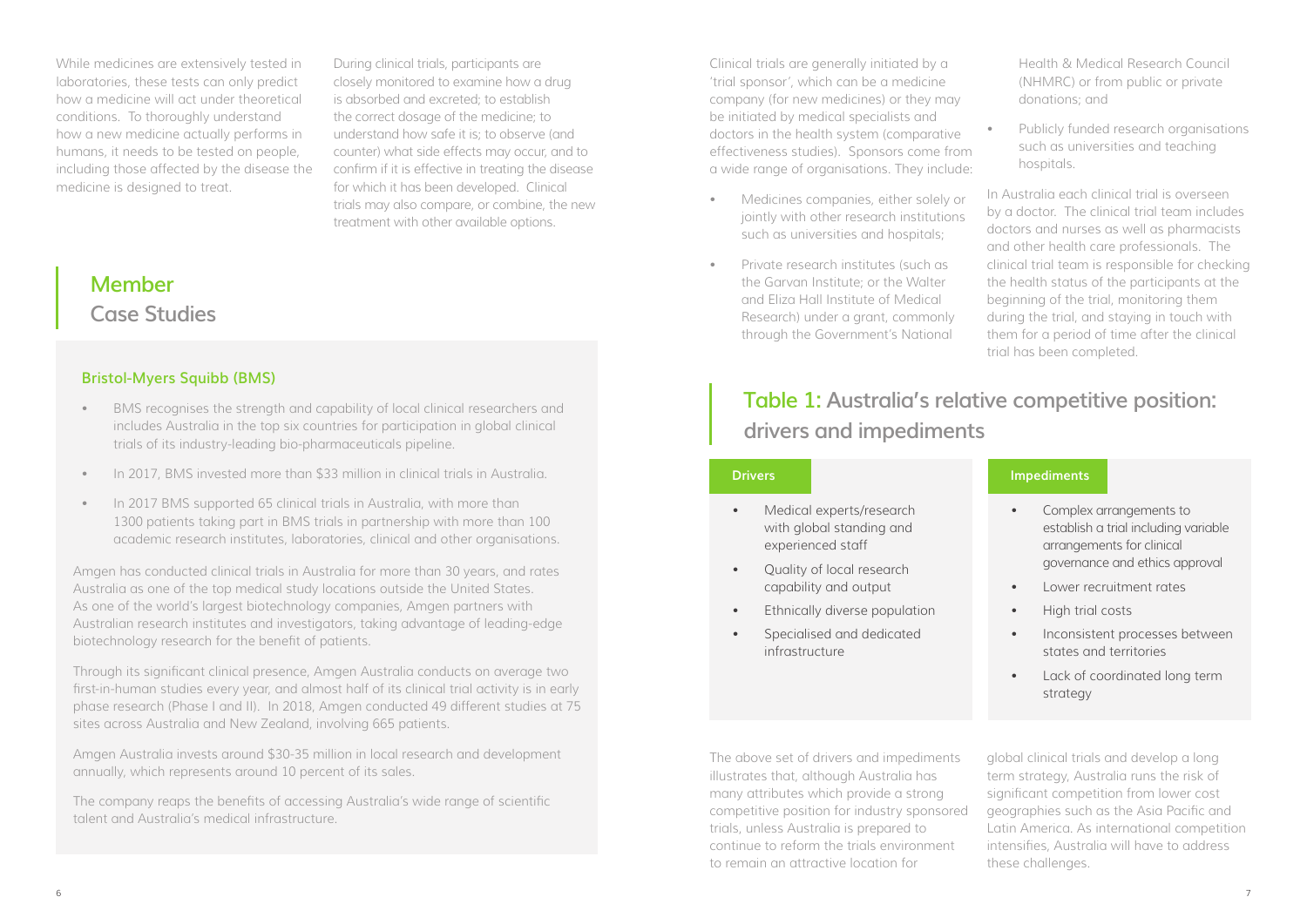While medicines are extensively tested in laboratories, these tests can only predict how a medicine will act under theoretical conditions. To thoroughly understand how a new medicine actually performs in humans, it needs to be tested on people, including those affected by the disease the medicine is designed to treat.

During clinical trials, participants are closely monitored to examine how a drug is absorbed and excreted; to establish the correct dosage of the medicine; to understand how safe it is; to observe (and counter) what side effects may occur, and to confirm if it is effective in treating the disease for which it has been developed. Clinical trials may also compare, or combine, the new treatment with other available options.

## **Bristol-Myers Squibb (BMS)**

- BMS recognises the strength and capability of local clinical researchers and includes Australia in the top six countries for participation in global clinical trials of its industry-leading bio-pharmaceuticals pipeline.
- In 2017, BMS invested more than \$33 million in clinical trials in Australia.
- In 2017 BMS supported 65 clinical trials in Australia, with more than 1300 patients taking part in BMS trials in partnership with more than 100 academic research institutes, laboratories, clinical and other organisations.

Amgen has conducted clinical trials in Australia for more than 30 years, and rates Australia as one of the top medical study locations outside the United States. As one of the world's largest biotechnology companies, Amgen partners with Australian research institutes and investigators, taking advantage of leading-edge biotechnology research for the benefit of patients.

Through its significant clinical presence, Amgen Australia conducts on average two first-in-human studies every year, and almost half of its clinical trial activity is in early phase research (Phase I and II). In 2018, Amgen conducted 49 different studies at 75 sites across Australia and New Zealand, involving 665 patients.

Amgen Australia invests around \$30-35 million in local research and development annually, which represents around 10 percent of its sales.

The company reaps the benefits of accessing Australia's wide range of scientific talent and Australia's medical infrastructure.

**Member Case Studies**

Clinical trials are generally initiated by a 'trial sponsor', which can be a medicine company (for new medicines) or they may be initiated by medical specialists and doctors in the health system (comparative effectiveness studies). Sponsors come from a wide range of organisations. They include:

- Medicines companies, either solely or jointly with other research institutions such as universities and hospitals;
- Private research institutes (such as the Garvan Institute; or the Walter and Eliza Hall Institute of Medical Research) under a grant, commonly through the Government's National

Health & Medical Research Council (NHMRC) or from public or private donations; and

• Publicly funded research organisations such as universities and teaching hospitals.

In Australia each clinical trial is overseen by a doctor. The clinical trial team includes doctors and nurses as well as pharmacists and other health care professionals. The clinical trial team is responsible for checking the health status of the participants at the beginning of the trial, monitoring them during the trial, and staying in touch with them for a period of time after the clinical trial has been completed.

## **Table 1: Australia's relative competitive position: drivers and impediments**

- Medical experts/research with global standing and experienced staff
- Quality of local research capability and output
- Ethnically diverse population
- Specialised and dedicated infrastructure

## **Drivers**

- Complex arrangements to establish a trial including variable arrangements for clinical governance and ethics approval
- Lower recruitment rates
- High trial costs
- Inconsistent processes between states and territories
- Lack of coordinated long term strategy

## **Impediments**

The above set of drivers and impediments illustrates that, although Australia has many attributes which provide a strong competitive position for industry sponsored trials, unless Australia is prepared to continue to reform the trials environment to remain an attractive location for global clinical trials and develop a long term strategy, Australia runs the risk of significant competition from lower cost geographies such as the Asia Pacific and Latin America. As international competition intensifies, Australia will have to address these challenges.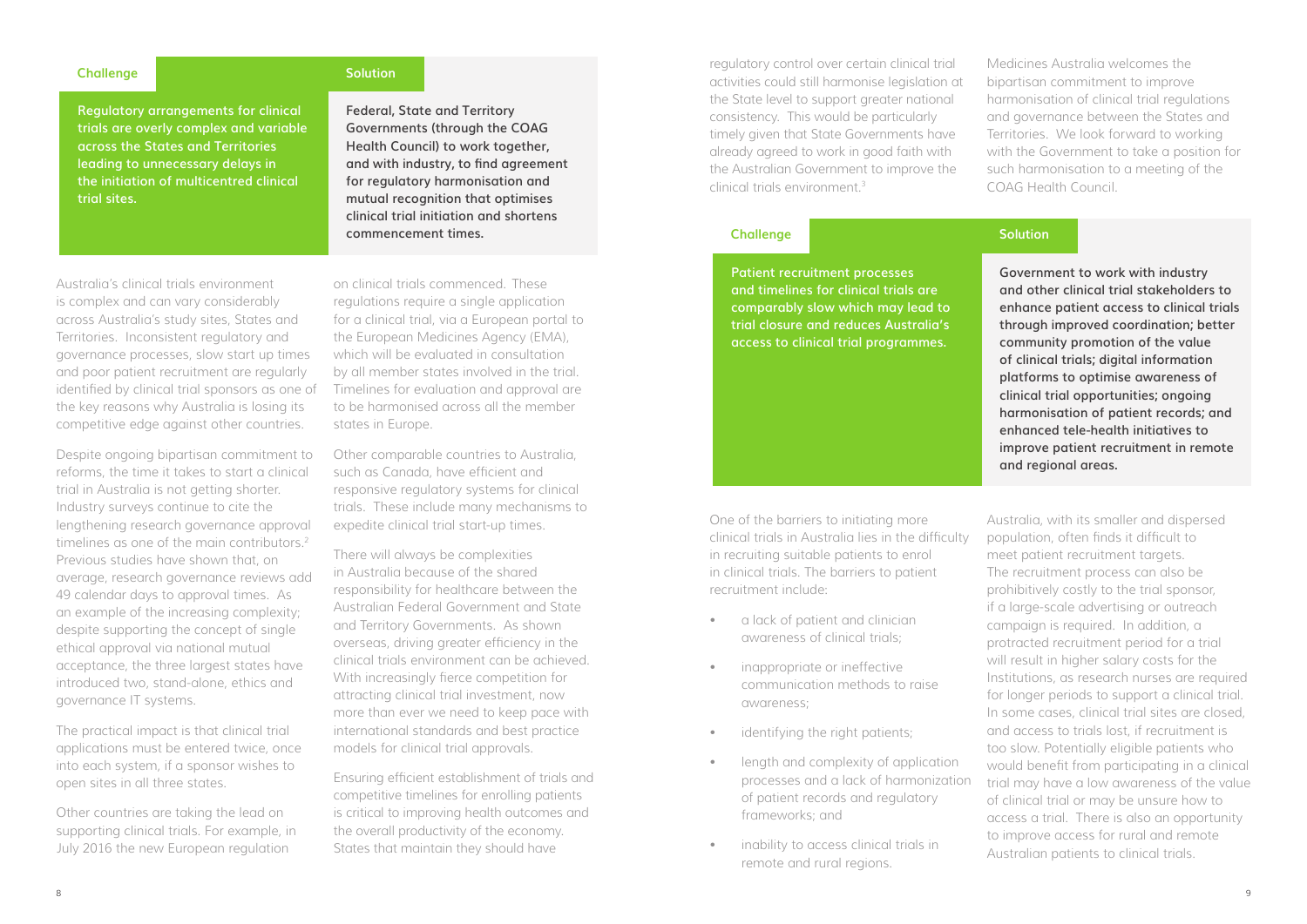**Regulatory arrangements for clinical trials are overly complex and variable across the States and Territories leading to unnecessary delays in the initiation of multicentred clinical trial sites.**

## **Challenge**

**Federal, State and Territory Governments (through the COAG Health Council) to work together, and with industry, to find agreement for regulatory harmonisation and mutual recognition that optimises clinical trial initiation and shortens commencement times.**

## **Solution**

Australia's clinical trials environment is complex and can vary considerably across Australia's study sites, States and Territories. Inconsistent regulatory and governance processes, slow start up times and poor patient recruitment are regularly identified by clinical trial sponsors as one of the key reasons why Australia is losing its competitive edge against other countries.

Despite ongoing bipartisan commitment to reforms, the time it takes to start a clinical trial in Australia is not getting shorter. Industry surveys continue to cite the lengthening research governance approval timelines as one of the main contributors.<sup>2</sup> Previous studies have shown that, on average, research governance reviews add 49 calendar days to approval times. As an example of the increasing complexity; despite supporting the concept of single ethical approval via national mutual acceptance, the three largest states have introduced two, stand-alone, ethics and governance IT systems.

The practical impact is that clinical trial applications must be entered twice, once into each system, if a sponsor wishes to open sites in all three states.

Other countries are taking the lead on supporting clinical trials. For example, in July 2016 the new European regulation

- a lack of patient and clinician awareness of clinical trials;
- inappropriate or ineffective communication methods to raise awareness;
- identifying the right patients;
- length and complexity of application processes and a lack of harmonization of patient records and regulatory frameworks; and
- inability to access clinical trials in remote and rural regions.

on clinical trials commenced. These regulations require a single application for a clinical trial, via a European portal to the European Medicines Agency (EMA), which will be evaluated in consultation by all member states involved in the trial. Timelines for evaluation and approval are to be harmonised across all the member states in Europe.

Other comparable countries to Australia, such as Canada, have efficient and responsive regulatory systems for clinical trials. These include many mechanisms to expedite clinical trial start-up times.

There will always be complexities in Australia because of the shared responsibility for healthcare between the Australian Federal Government and State and Territory Governments. As shown overseas, driving greater efficiency in the clinical trials environment can be achieved. With increasingly fierce competition for attracting clinical trial investment, now more than ever we need to keep pace with international standards and best practice models for clinical trial approvals.

Ensuring efficient establishment of trials and competitive timelines for enrolling patients is critical to improving health outcomes and the overall productivity of the economy. States that maintain they should have

One of the barriers to initiating more clinical trials in Australia lies in the difficulty in recruiting suitable patients to enrol in clinical trials. The barriers to patient recruitment include:

Australia, with its smaller and dispersed population, often finds it difficult to meet patient recruitment targets. The recruitment process can also be prohibitively costly to the trial sponsor, if a large-scale advertising or outreach campaign is required. In addition, a protracted recruitment period for a trial will result in higher salary costs for the Institutions, as research nurses are required for longer periods to support a clinical trial. In some cases, clinical trial sites are closed, and access to trials lost, if recruitment is too slow. Potentially eligible patients who would benefit from participating in a clinical trial may have a low awareness of the value of clinical trial or may be unsure how to access a trial. There is also an opportunity to improve access for rural and remote Australian patients to clinical trials.

**Patient recruitment processes and timelines for clinical trials are comparably slow which may lead to trial closure and reduces Australia's access to clinical trial programmes.** 

## **Challenge**

**Government to work with industry and other clinical trial stakeholders to enhance patient access to clinical trials through improved coordination; better community promotion of the value of clinical trials; digital information platforms to optimise awareness of clinical trial opportunities; ongoing harmonisation of patient records; and enhanced tele-health initiatives to improve patient recruitment in remote and regional areas.**

## **Solution**

regulatory control over certain clinical trial activities could still harmonise legislation at the State level to support greater national consistency. This would be particularly timely given that State Governments have already agreed to work in good faith with the Australian Government to improve the clinical trials environment.<sup>3</sup>

Medicines Australia welcomes the bipartisan commitment to improve harmonisation of clinical trial regulations and governance between the States and Territories. We look forward to working with the Government to take a position for such harmonisation to a meeting of the COAG Health Council.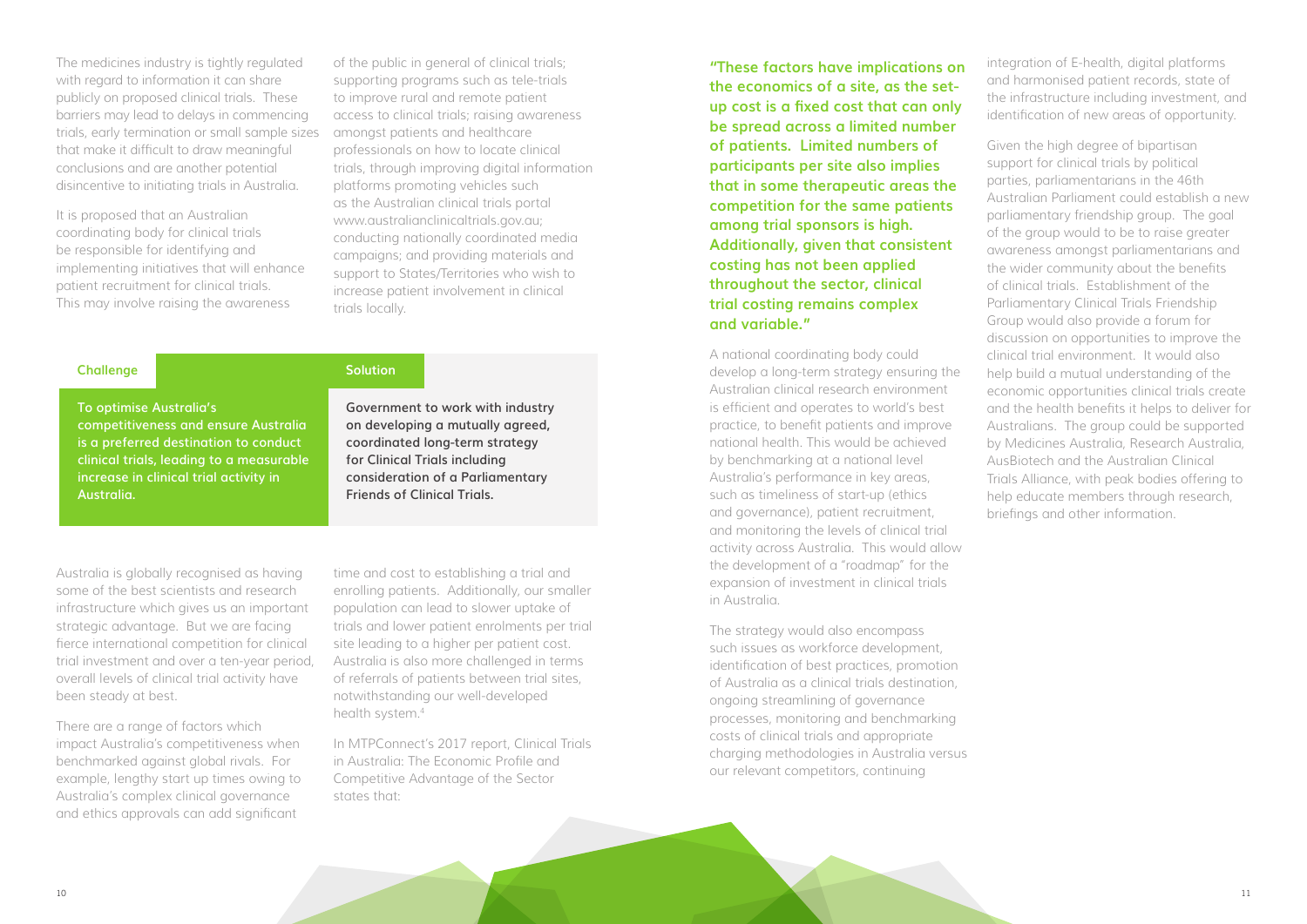The medicines industry is tightly regulated with regard to information it can share publicly on proposed clinical trials. These barriers may lead to delays in commencing trials, early termination or small sample sizes that make it difficult to draw meaningful conclusions and are another potential disincentive to initiating trials in Australia.

It is proposed that an Australian coordinating body for clinical trials be responsible for identifying and implementing initiatives that will enhance patient recruitment for clinical trials. This may involve raising the awareness

> time and cost to establishing a trial and enrolling patients. Additionally, our smaller population can lead to slower uptake of trials and lower patient enrolments per trial site leading to a higher per patient cost. Australia is also more challenged in terms of referrals of patients between trial sites, notwithstanding our well-developed health system.<sup>4</sup>

of the public in general of clinical trials; supporting programs such as tele-trials to improve rural and remote patient access to clinical trials; raising awareness amongst patients and healthcare professionals on how to locate clinical trials, through improving digital information platforms promoting vehicles such as the Australian clinical trials portal www.australianclinicaltrials.gov.au; conducting nationally coordinated media campaigns; and providing materials and support to States/Territories who wish to increase patient involvement in clinical trials locally.

Australia is globally recognised as having some of the best scientists and research infrastructure which gives us an important strategic advantage. But we are facing fierce international competition for clinical trial investment and over a ten-year period, overall levels of clinical trial activity have been steady at best.

There are a range of factors which impact Australia's competitiveness when benchmarked against global rivals. For example, lengthy start up times owing to Australia's complex clinical governance and ethics approvals can add significant

In MTPConnect's 2017 report, Clinical Trials in Australia: The Economic Profile and Competitive Advantage of the Sector states that:

**"These factors have implications on the economics of a site, as the setup cost is a fixed cost that can only be spread across a limited number of patients. Limited numbers of participants per site also implies that in some therapeutic areas the competition for the same patients among trial sponsors is high. Additionally, given that consistent costing has not been applied throughout the sector, clinical trial costing remains complex and variable."**

A national coordinating body could develop a long-term strategy ensuring the Australian clinical research environment is efficient and operates to world's best practice, to benefit patients and improve national health. This would be achieved by benchmarking at a national level Australia's performance in key areas, such as timeliness of start-up (ethics and governance), patient recruitment, and monitoring the levels of clinical trial activity across Australia. This would allow the development of a "roadmap" for the expansion of investment in clinical trials in Australia.

The strategy would also encompass such issues as workforce development, identification of best practices, promotion of Australia as a clinical trials destination, ongoing streamlining of governance processes, monitoring and benchmarking costs of clinical trials and appropriate charging methodologies in Australia versus our relevant competitors, continuing

integration of E-health, digital platforms and harmonised patient records, state of the infrastructure including investment, and identification of new areas of opportunity.

Given the high degree of bipartisan support for clinical trials by political parties, parliamentarians in the 46th Australian Parliament could establish a new parliamentary friendship group. The goal of the group would to be to raise greater awareness amongst parliamentarians and the wider community about the benefits of clinical trials. Establishment of the Parliamentary Clinical Trials Friendship Group would also provide a forum for discussion on opportunities to improve the clinical trial environment. It would also help build a mutual understanding of the economic opportunities clinical trials create and the health benefits it helps to deliver for Australians. The group could be supported by Medicines Australia, Research Australia, AusBiotech and the Australian Clinical Trials Alliance, with peak bodies offering to help educate members through research, briefings and other information.

**To optimise Australia's competitiveness and ensure Australia is a preferred destination to conduct clinical trials, leading to a measurable increase in clinical trial activity in Australia.** 

### **Challenge**

**Government to work with industry on developing a mutually agreed, coordinated long-term strategy for Clinical Trials including consideration of a Parliamentary Friends of Clinical Trials.**

**Solution**